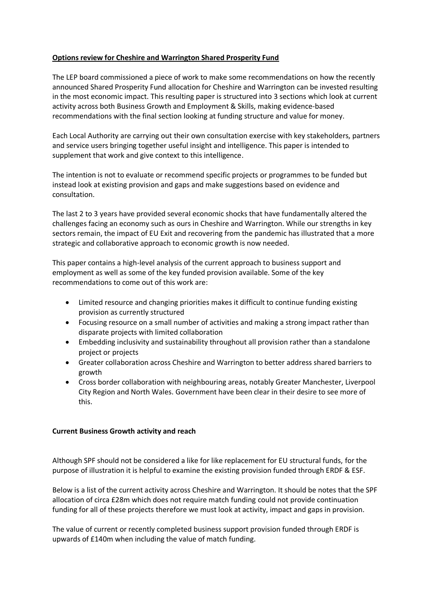## **Options review for Cheshire and Warrington Shared Prosperity Fund**

The LEP board commissioned a piece of work to make some recommendations on how the recently announced Shared Prosperity Fund allocation for Cheshire and Warrington can be invested resulting in the most economic impact. This resulting paper is structured into 3 sections which look at current activity across both Business Growth and Employment & Skills, making evidence-based recommendations with the final section looking at funding structure and value for money.

Each Local Authority are carrying out their own consultation exercise with key stakeholders, partners and service users bringing together useful insight and intelligence. This paper is intended to supplement that work and give context to this intelligence.

The intention is not to evaluate or recommend specific projects or programmes to be funded but instead look at existing provision and gaps and make suggestions based on evidence and consultation.

The last 2 to 3 years have provided several economic shocks that have fundamentally altered the challenges facing an economy such as ours in Cheshire and Warrington. While our strengths in key sectors remain, the impact of EU Exit and recovering from the pandemic has illustrated that a more strategic and collaborative approach to economic growth is now needed.

This paper contains a high-level analysis of the current approach to business support and employment as well as some of the key funded provision available. Some of the key recommendations to come out of this work are:

- Limited resource and changing priorities makes it difficult to continue funding existing provision as currently structured
- Focusing resource on a small number of activities and making a strong impact rather than disparate projects with limited collaboration
- Embedding inclusivity and sustainability throughout all provision rather than a standalone project or projects
- Greater collaboration across Cheshire and Warrington to better address shared barriers to growth
- Cross border collaboration with neighbouring areas, notably Greater Manchester, Liverpool City Region and North Wales. Government have been clear in their desire to see more of this.

## **Current Business Growth activity and reach**

Although SPF should not be considered a like for like replacement for EU structural funds, for the purpose of illustration it is helpful to examine the existing provision funded through ERDF & ESF.

Below is a list of the current activity across Cheshire and Warrington. It should be notes that the SPF allocation of circa £28m which does not require match funding could not provide continuation funding for all of these projects therefore we must look at activity, impact and gaps in provision.

The value of current or recently completed business support provision funded through ERDF is upwards of £140m when including the value of match funding.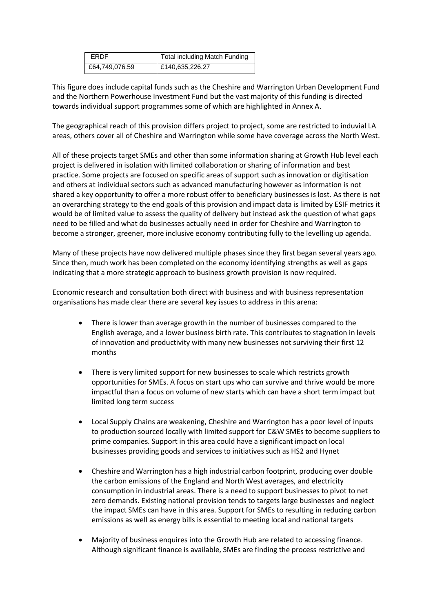| <b>FRDF</b>    | <b>Total including Match Funding</b> |
|----------------|--------------------------------------|
| £64,749,076.59 | £140,635,226.27                      |

This figure does include capital funds such as the Cheshire and Warrington Urban Development Fund and the Northern Powerhouse Investment Fund but the vast majority of this funding is directed towards individual support programmes some of which are highlighted in Annex A.

The geographical reach of this provision differs project to project, some are restricted to induvial LA areas, others cover all of Cheshire and Warrington while some have coverage across the North West.

All of these projects target SMEs and other than some information sharing at Growth Hub level each project is delivered in isolation with limited collaboration or sharing of information and best practice. Some projects are focused on specific areas of support such as innovation or digitisation and others at individual sectors such as advanced manufacturing however as information is not shared a key opportunity to offer a more robust offer to beneficiary businesses is lost. As there is not an overarching strategy to the end goals of this provision and impact data is limited by ESIF metrics it would be of limited value to assess the quality of delivery but instead ask the question of what gaps need to be filled and what do businesses actually need in order for Cheshire and Warrington to become a stronger, greener, more inclusive economy contributing fully to the levelling up agenda.

Many of these projects have now delivered multiple phases since they first began several years ago. Since then, much work has been completed on the economy identifying strengths as well as gaps indicating that a more strategic approach to business growth provision is now required.

Economic research and consultation both direct with business and with business representation organisations has made clear there are several key issues to address in this arena:

- There is lower than average growth in the number of businesses compared to the English average, and a lower business birth rate. This contributes to stagnation in levels of innovation and productivity with many new businesses not surviving their first 12 months
- There is very limited support for new businesses to scale which restricts growth opportunities for SMEs. A focus on start ups who can survive and thrive would be more impactful than a focus on volume of new starts which can have a short term impact but limited long term success
- Local Supply Chains are weakening, Cheshire and Warrington has a poor level of inputs to production sourced locally with limited support for C&W SMEs to become suppliers to prime companies. Support in this area could have a significant impact on local businesses providing goods and services to initiatives such as HS2 and Hynet
- Cheshire and Warrington has a high industrial carbon footprint, producing over double the carbon emissions of the England and North West averages, and electricity consumption in industrial areas. There is a need to support businesses to pivot to net zero demands. Existing national provision tends to targets large businesses and neglect the impact SMEs can have in this area. Support for SMEs to resulting in reducing carbon emissions as well as energy bills is essential to meeting local and national targets
- Majority of business enquires into the Growth Hub are related to accessing finance. Although significant finance is available, SMEs are finding the process restrictive and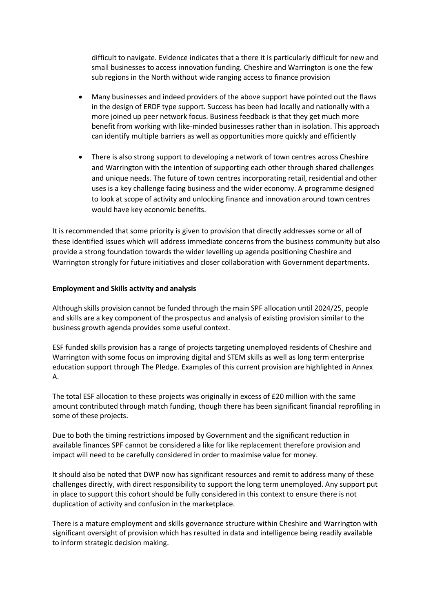difficult to navigate. Evidence indicates that a there it is particularly difficult for new and small businesses to access innovation funding. Cheshire and Warrington is one the few sub regions in the North without wide ranging access to finance provision

- Many businesses and indeed providers of the above support have pointed out the flaws in the design of ERDF type support. Success has been had locally and nationally with a more joined up peer network focus. Business feedback is that they get much more benefit from working with like-minded businesses rather than in isolation. This approach can identify multiple barriers as well as opportunities more quickly and efficiently
- There is also strong support to developing a network of town centres across Cheshire and Warrington with the intention of supporting each other through shared challenges and unique needs. The future of town centres incorporating retail, residential and other uses is a key challenge facing business and the wider economy. A programme designed to look at scope of activity and unlocking finance and innovation around town centres would have key economic benefits.

It is recommended that some priority is given to provision that directly addresses some or all of these identified issues which will address immediate concerns from the business community but also provide a strong foundation towards the wider levelling up agenda positioning Cheshire and Warrington strongly for future initiatives and closer collaboration with Government departments.

## **Employment and Skills activity and analysis**

Although skills provision cannot be funded through the main SPF allocation until 2024/25, people and skills are a key component of the prospectus and analysis of existing provision similar to the business growth agenda provides some useful context.

ESF funded skills provision has a range of projects targeting unemployed residents of Cheshire and Warrington with some focus on improving digital and STEM skills as well as long term enterprise education support through The Pledge. Examples of this current provision are highlighted in Annex A.

The total ESF allocation to these projects was originally in excess of £20 million with the same amount contributed through match funding, though there has been significant financial reprofiling in some of these projects.

Due to both the timing restrictions imposed by Government and the significant reduction in available finances SPF cannot be considered a like for like replacement therefore provision and impact will need to be carefully considered in order to maximise value for money.

It should also be noted that DWP now has significant resources and remit to address many of these challenges directly, with direct responsibility to support the long term unemployed. Any support put in place to support this cohort should be fully considered in this context to ensure there is not duplication of activity and confusion in the marketplace.

There is a mature employment and skills governance structure within Cheshire and Warrington with significant oversight of provision which has resulted in data and intelligence being readily available to inform strategic decision making.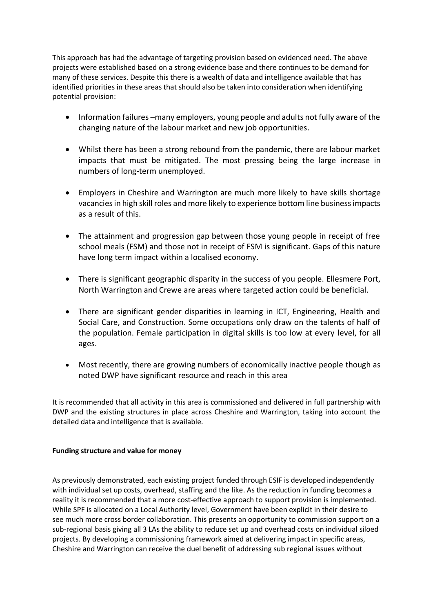This approach has had the advantage of targeting provision based on evidenced need. The above projects were established based on a strong evidence base and there continues to be demand for many of these services. Despite this there is a wealth of data and intelligence available that has identified priorities in these areas that should also be taken into consideration when identifying potential provision:

- Information failures –many employers, young people and adults not fully aware of the changing nature of the labour market and new job opportunities.
- Whilst there has been a strong rebound from the pandemic, there are labour market impacts that must be mitigated. The most pressing being the large increase in numbers of long-term unemployed.
- Employers in Cheshire and Warrington are much more likely to have skills shortage vacancies in high skill roles and more likely to experience bottom line business impacts as a result of this.
- The attainment and progression gap between those young people in receipt of free school meals (FSM) and those not in receipt of FSM is significant. Gaps of this nature have long term impact within a localised economy.
- There is significant geographic disparity in the success of you people. Ellesmere Port, North Warrington and Crewe are areas where targeted action could be beneficial.
- There are significant gender disparities in learning in ICT, Engineering, Health and Social Care, and Construction. Some occupations only draw on the talents of half of the population. Female participation in digital skills is too low at every level, for all ages.
- Most recently, there are growing numbers of economically inactive people though as noted DWP have significant resource and reach in this area

It is recommended that all activity in this area is commissioned and delivered in full partnership with DWP and the existing structures in place across Cheshire and Warrington, taking into account the detailed data and intelligence that is available.

## **Funding structure and value for money**

As previously demonstrated, each existing project funded through ESIF is developed independently with individual set up costs, overhead, staffing and the like. As the reduction in funding becomes a reality it is recommended that a more cost-effective approach to support provision is implemented. While SPF is allocated on a Local Authority level, Government have been explicit in their desire to see much more cross border collaboration. This presents an opportunity to commission support on a sub-regional basis giving all 3 LAs the ability to reduce set up and overhead costs on individual siloed projects. By developing a commissioning framework aimed at delivering impact in specific areas, Cheshire and Warrington can receive the duel benefit of addressing sub regional issues without